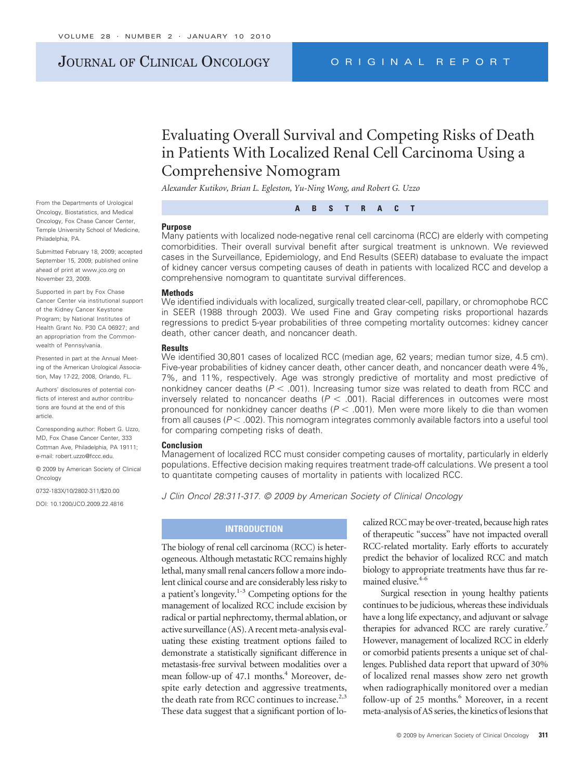# JOURNAL OF CLINICAL ONCOLOGY ORIGINAL REPORT

# Evaluating Overall Survival and Competing Risks of Death in Patients With Localized Renal Cell Carcinoma Using a Comprehensive Nomogram

*Alexander Kutikov, Brian L. Egleston, Yu-Ning Wong, and Robert G. Uzzo*

From the Departments of Urological Oncology, Biostatistics, and Medical Oncology, Fox Chase Cancer Center, Temple University School of Medicine,

Submitted February 18, 2009; accepted September 15, 2009; published online ahead of print at www.jco.org on November 23, 2009.

Philadelphia, PA.

Supported in part by Fox Chase Cancer Center via institutional support of the Kidney Cancer Keystone Program; by National Institutes of Health Grant No. P30 CA 06927; and an appropriation from the Commonwealth of Pennsylvania.

Presented in part at the Annual Meeting of the American Urological Association, May 17-22, 2008, Orlando, FL.

Authors' disclosures of potential conflicts of interest and author contributions are found at the end of this article.

Corresponding author: Robert G. Uzzo, MD, Fox Chase Cancer Center, 333 Cottman Ave, Philadelphia, PA 19111; e-mail: robert.uzzo@fccc.edu.

© 2009 by American Society of Clinical **Oncology** 

0732-183X/10/2802-311/\$20.00

DOI: 10.1200/JCO.2009.22.4816

#### **Purpose**

Many patients with localized node-negative renal cell carcinoma (RCC) are elderly with competing comorbidities. Their overall survival benefit after surgical treatment is unknown. We reviewed cases in the Surveillance, Epidemiology, and End Results (SEER) database to evaluate the impact of kidney cancer versus competing causes of death in patients with localized RCC and develop a comprehensive nomogram to quantitate survival differences.

**ABSTRACT**

#### **Methods**

We identified individuals with localized, surgically treated clear-cell, papillary, or chromophobe RCC in SEER (1988 through 2003). We used Fine and Gray competing risks proportional hazards regressions to predict 5-year probabilities of three competing mortality outcomes: kidney cancer death, other cancer death, and noncancer death.

#### **Results**

We identified 30,801 cases of localized RCC (median age, 62 years; median tumor size, 4.5 cm). Five-year probabilities of kidney cancer death, other cancer death, and noncancer death were 4%, 7%, and 11%, respectively. Age was strongly predictive of mortality and most predictive of nonkidney cancer deaths ( $P < .001$ ). Increasing tumor size was related to death from RCC and inversely related to noncancer deaths  $(P < .001)$ . Racial differences in outcomes were most pronounced for nonkidney cancer deaths ( $P < .001$ ). Men were more likely to die than women from all causes ( $P$  < .002). This nomogram integrates commonly available factors into a useful tool for comparing competing risks of death.

#### **Conclusion**

Management of localized RCC must consider competing causes of mortality, particularly in elderly populations. Effective decision making requires treatment trade-off calculations. We present a tool to quantitate competing causes of mortality in patients with localized RCC.

*J Clin Oncol 28:311-317. © 2009 by American Society of Clinical Oncology*

## **INTRODUCTION**

The biology of renal cell carcinoma (RCC) is heterogeneous. Although metastatic RCC remains highly lethal, many small renal cancers follow a more indolent clinical course and are considerably less risky to a patient's longevity.<sup>1-3</sup> Competing options for the management of localized RCC include excision by radical or partial nephrectomy, thermal ablation, or active surveillance (AS). A recent meta-analysis evaluating these existing treatment options failed to demonstrate a statistically significant difference in metastasis-free survival between modalities over a mean follow-up of 47.1 months.<sup>4</sup> Moreover, despite early detection and aggressive treatments, the death rate from RCC continues to increase.<sup>2,3</sup> These data suggest that a significant portion of lo-

calized RCC may be over-treated, because high rates of therapeutic "success" have not impacted overall RCC-related mortality. Early efforts to accurately predict the behavior of localized RCC and match biology to appropriate treatments have thus far remained elusive.<sup>4-6</sup>

Surgical resection in young healthy patients continues to be judicious, whereas these individuals have a long life expectancy, and adjuvant or salvage therapies for advanced RCC are rarely curative.<sup>7</sup> However, management of localized RCC in elderly or comorbid patients presents a unique set of challenges. Published data report that upward of 30% of localized renal masses show zero net growth when radiographically monitored over a median follow-up of 25 months.<sup>6</sup> Moreover, in a recent meta-analysis of AS series, the kinetics of lesions that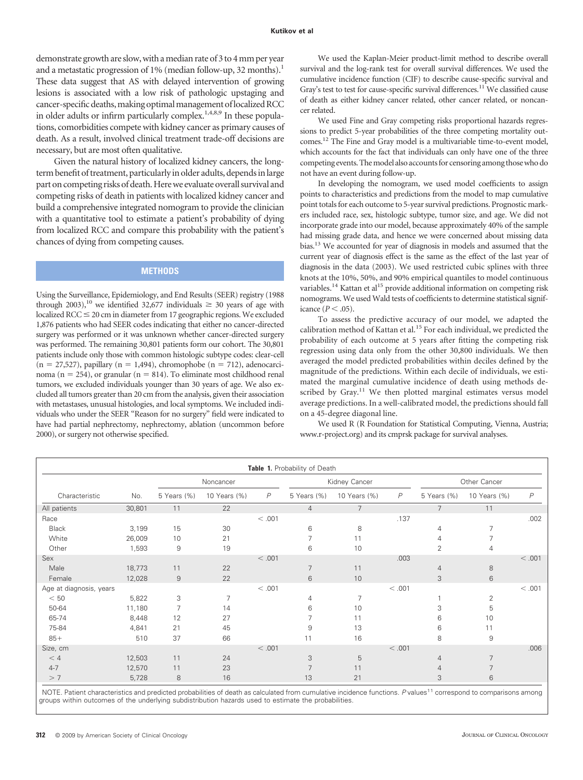demonstrate growth are slow, with a median rate of 3 to 4 mm per year and a metastatic progression of  $1\%$  (median follow-up, 32 months).<sup>1</sup> These data suggest that AS with delayed intervention of growing lesions is associated with a low risk of pathologic upstaging and cancer-specific deaths, making optimal management of localized RCC in older adults or infirm particularly complex.<sup>1,4,8,9</sup> In these populations, comorbidities compete with kidney cancer as primary causes of death. As a result, involved clinical treatment trade-off decisions are necessary, but are most often qualitative.

Given the natural history of localized kidney cancers, the longterm benefit of treatment, particularly in older adults, depends in large part on competing risks of death. Here we evaluate overall survival and competing risks of death in patients with localized kidney cancer and build a comprehensive integrated nomogram to provide the clinician with a quantitative tool to estimate a patient's probability of dying from localized RCC and compare this probability with the patient's chances of dying from competing causes.

## **METHODS**

Using the Surveillance, Epidemiology, and End Results (SEER) registry (1988 through 2003),<sup>10</sup> we identified 32,677 individuals  $\geq$  30 years of age with  $localized RCC \leq 20$  cm in diameter from 17 geographic regions. We excluded 1,876 patients who had SEER codes indicating that either no cancer-directed surgery was performed or it was unknown whether cancer-directed surgery was performed. The remaining 30,801 patients form our cohort. The 30,801 patients include only those with common histologic subtype codes: clear-cell  $(n = 27,527)$ , papillary  $(n = 1,494)$ , chromophobe  $(n = 712)$ , adenocarcinoma ( $n = 254$ ), or granular ( $n = 814$ ). To eliminate most childhood renal tumors, we excluded individuals younger than 30 years of age. We also excluded all tumors greater than 20 cm from the analysis, given their association with metastases, unusual histologies, and local symptoms. We included individuals who under the SEER "Reason for no surgery" field were indicated to have had partial nephrectomy, nephrectomy, ablation (uncommon before 2000), or surgery not otherwise specified.

We used the Kaplan-Meier product-limit method to describe overall survival and the log-rank test for overall survival differences. We used the cumulative incidence function (CIF) to describe cause-specific survival and Gray's test to test for cause-specific survival differences.<sup>11</sup> We classified cause of death as either kidney cancer related, other cancer related, or noncancer related.

We used Fine and Gray competing risks proportional hazards regressions to predict 5-year probabilities of the three competing mortality outcomes.12 The Fine and Gray model is a multivariable time-to-event model, which accounts for the fact that individuals can only have one of the three competing events. The model also accounts for censoring among those who do not have an event during follow-up.

In developing the nomogram, we used model coefficients to assign points to characteristics and predictions from the model to map cumulative point totals for each outcome to 5-year survival predictions. Prognostic markers included race, sex, histologic subtype, tumor size, and age. We did not incorporate grade into our model, because approximately 40% of the sample had missing grade data, and hence we were concerned about missing data bias.13 We accounted for year of diagnosis in models and assumed that the current year of diagnosis effect is the same as the effect of the last year of diagnosis in the data (2003). We used restricted cubic splines with three knots at the 10%, 50%, and 90% empirical quantiles to model continuous variables.<sup>14</sup> Kattan et al<sup>15</sup> provide additional information on competing risk nomograms. We used Wald tests of coefficients to determine statistical significance  $(P < .05)$ .

To assess the predictive accuracy of our model, we adapted the calibration method of Kattan et al.<sup>15</sup> For each individual, we predicted the probability of each outcome at 5 years after fitting the competing risk regression using data only from the other 30,800 individuals. We then averaged the model predicted probabilities within deciles defined by the magnitude of the predictions. Within each decile of individuals, we estimated the marginal cumulative incidence of death using methods described by Gray.<sup>11</sup> We then plotted marginal estimates versus model average predictions. In a well-calibrated model, the predictions should fall on a 45-degree diagonal line.

We used R (R Foundation for Statistical Computing, Vienna, Austria; www.r-project.org) and its cmprsk package for survival analyses.

| Table 1. Probability of Death |        |                |              |                |                |                |              |                |                |                |
|-------------------------------|--------|----------------|--------------|----------------|----------------|----------------|--------------|----------------|----------------|----------------|
|                               |        | Noncancer      |              |                | Kidney Cancer  |                |              | Other Cancer   |                |                |
| Characteristic                | No.    | 5 Years (%)    | 10 Years (%) | $\overline{P}$ | 5 Years (%)    | 10 Years (%)   | $\mathsf{P}$ | 5 Years (%)    | 10 Years (%)   | $\overline{P}$ |
| All patients                  | 30,801 | 11             | 22           |                | $\overline{4}$ | $\overline{7}$ |              | $7^{\circ}$    | 11             |                |
| Race                          |        |                |              | < .001         |                |                | .137         |                |                | .002           |
| <b>Black</b>                  | 3,199  | 15             | 30           |                | 6              | 8              |              | 4              | 7              |                |
| White                         | 26,009 | 10             | 21           |                | 7              | 11             |              | 4              | $\overline{7}$ |                |
| Other                         | 1,593  | 9              | 19           |                | 6              | 10             |              | $\overline{2}$ | 4              |                |
| Sex                           |        |                |              | < 0.001        |                |                | .003         |                |                | < .001         |
| Male                          | 18,773 | 11             | 22           |                | 7              | 11             |              | $\overline{4}$ | 8              |                |
| Female                        | 12,028 | $\overline{9}$ | 22           |                | 6              | 10             |              | 3              | 6              |                |
| Age at diagnosis, years       |        |                |              | < .001         |                |                | < .001       |                |                | < .001         |
| < 50                          | 5,822  | 3              | 7            |                | 4              | 7              |              |                | $\overline{2}$ |                |
| 50-64                         | 11,180 | 7              | 14           |                | 6              | 10             |              | 3              | 5              |                |
| 65-74                         | 8,448  | 12             | 27           |                | 7              | 11             |              | 6              | 10             |                |
| 75-84                         | 4,841  | 21             | 45           |                | 9              | 13             |              | 6              | 11             |                |
| $85+$                         | 510    | 37             | 66           |                | 11             | 16             |              | 8              | 9              |                |
| Size, cm                      |        |                |              | < 0.001        |                |                | < .001       |                |                | .006           |
| < 4                           | 12,503 | 11             | 24           |                | 3              | 5              |              | $\overline{4}$ | $\overline{7}$ |                |
| $4 - 7$                       | 12,570 | 11             | 23           |                | $\overline{7}$ | 11             |              | 4              | $\overline{7}$ |                |
| > 7                           | 5,728  | 8              | 16           |                | 13             | 21             |              | 3              | 6              |                |

NOTE. Patient characteristics and predicted probabilities of death as calculated from cumulative incidence functions. P values<sup>11</sup> correspond to comparisons among groups within outcomes of the underlying subdistribution hazards used to estimate the probabilities.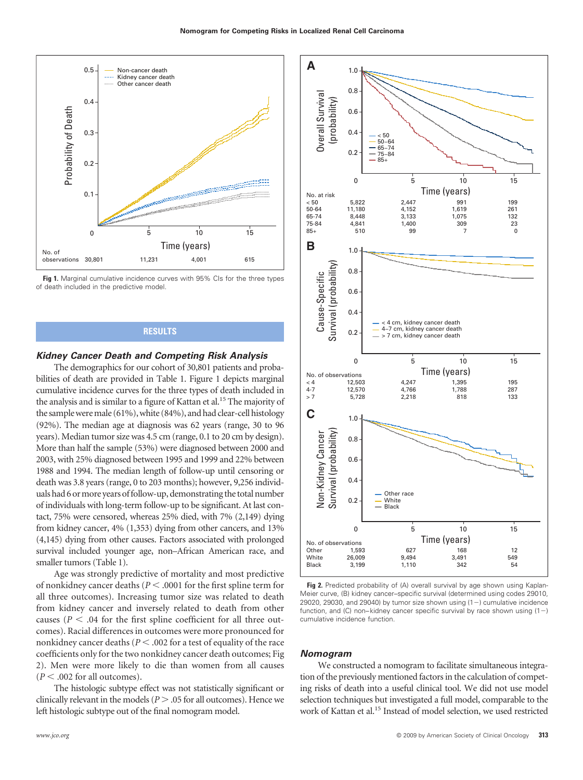

**Fig 1.** Marginal cumulative incidence curves with 95% CIs for the three types of death included in the predictive model.

## **RESULTS**

#### *Kidney Cancer Death and Competing Risk Analysis*

The demographics for our cohort of 30,801 patients and probabilities of death are provided in Table 1. Figure 1 depicts marginal cumulative incidence curves for the three types of death included in the analysis and is similar to a figure of Kattan et al.<sup>15</sup> The majority of the sample were male (61%), white (84%), and had clear-cell histology (92%). The median age at diagnosis was 62 years (range, 30 to 96 years). Median tumor size was 4.5 cm (range, 0.1 to 20 cm by design). More than half the sample (53%) were diagnosed between 2000 and 2003, with 25% diagnosed between 1995 and 1999 and 22% between 1988 and 1994. The median length of follow-up until censoring or death was 3.8 years (range, 0 to 203 months); however, 9,256 individuals had 6 or more years of follow-up, demonstrating the total number of individuals with long-term follow-up to be significant. At last contact, 75% were censored, whereas 25% died, with 7% (2,149) dying from kidney cancer, 4% (1,353) dying from other cancers, and 13% (4,145) dying from other causes. Factors associated with prolonged survival included younger age, non–African American race, and smaller tumors (Table 1).

Age was strongly predictive of mortality and most predictive of nonkidney cancer deaths (*P* .0001 for the first spline term for all three outcomes). Increasing tumor size was related to death from kidney cancer and inversely related to death from other causes ( $P < .04$  for the first spline coefficient for all three outcomes). Racial differences in outcomes were more pronounced for nonkidney cancer deaths ( $P < .002$  for a test of equality of the race coefficients only for the two nonkidney cancer death outcomes; Fig 2). Men were more likely to die than women from all causes  $(P < .002$  for all outcomes).

The histologic subtype effect was not statistically significant or clinically relevant in the models ( $P > 0.05$  for all outcomes). Hence we left histologic subtype out of the final nomogram model.



**Fig 2.** Predicted probability of (A) overall survival by age shown using Kaplan-Meier curve, (B) kidney cancer–specific survival (determined using codes 29010, 29020, 29030, and 29040) by tumor size shown using  $(1-)$  cumulative incidence function, and (C) non–kidney cancer specific survival by race shown using  $(1-)$ cumulative incidence function.

#### *Nomogram*

We constructed a nomogram to facilitate simultaneous integration of the previously mentioned factors in the calculation of competing risks of death into a useful clinical tool. We did not use model selection techniques but investigated a full model, comparable to the work of Kattan et al.<sup>15</sup> Instead of model selection, we used restricted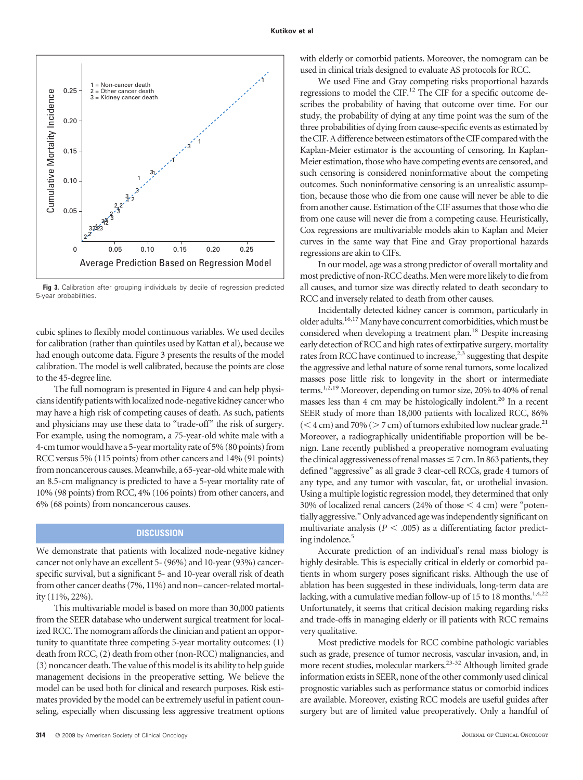

**Fig 3.** Calibration after grouping individuals by decile of regression predicted 5-year probabilities.

cubic splines to flexibly model continuous variables. We used deciles for calibration (rather than quintiles used by Kattan et al), because we had enough outcome data. Figure 3 presents the results of the model calibration. The model is well calibrated, because the points are close to the 45-degree line.

The full nomogram is presented in Figure 4 and can help physicians identify patients with localized node-negative kidney cancer who may have a high risk of competing causes of death. As such, patients and physicians may use these data to "trade-off" the risk of surgery. For example, using the nomogram, a 75-year-old white male with a 4-cm tumor would have a 5-year mortality rate of 5% (80 points) from RCC versus 5% (115 points) from other cancers and 14% (91 points) from noncancerous causes. Meanwhile, a 65-year-old white male with an 8.5-cm malignancy is predicted to have a 5-year mortality rate of 10% (98 points) from RCC, 4% (106 points) from other cancers, and 6% (68 points) from noncancerous causes.

## **DISCUSSION**

We demonstrate that patients with localized node-negative kidney cancer not only have an excellent 5- (96%) and 10-year (93%) cancerspecific survival, but a significant 5- and 10-year overall risk of death from other cancer deaths (7%, 11%) and non–cancer-related mortality (11%, 22%).

This multivariable model is based on more than 30,000 patients from the SEER database who underwent surgical treatment for localized RCC. The nomogram affords the clinician and patient an opportunity to quantitate three competing 5-year mortality outcomes: (1) death from RCC, (2) death from other (non-RCC) malignancies, and (3) noncancer death. The value of this model is its ability to help guide management decisions in the preoperative setting. We believe the model can be used both for clinical and research purposes. Risk estimates provided by the model can be extremely useful in patient counseling, especially when discussing less aggressive treatment options

with elderly or comorbid patients. Moreover, the nomogram can be used in clinical trials designed to evaluate AS protocols for RCC.

We used Fine and Gray competing risks proportional hazards regressions to model the CIF.12 The CIF for a specific outcome describes the probability of having that outcome over time. For our study, the probability of dying at any time point was the sum of the three probabilities of dying from cause-specific events as estimated by the CIF. A difference between estimators of the CIF compared with the Kaplan-Meier estimator is the accounting of censoring. In Kaplan-Meier estimation, those who have competing events are censored, and such censoring is considered noninformative about the competing outcomes. Such noninformative censoring is an unrealistic assumption, because those who die from one cause will never be able to die from another cause. Estimation of the CIF assumes that those who die from one cause will never die from a competing cause. Heuristically, Cox regressions are multivariable models akin to Kaplan and Meier curves in the same way that Fine and Gray proportional hazards regressions are akin to CIFs.

In our model, age was a strong predictor of overall mortality and most predictive of non-RCC deaths. Men were more likely to die from all causes, and tumor size was directly related to death secondary to RCC and inversely related to death from other causes.

Incidentally detected kidney cancer is common, particularly in older adults.<sup>16,17</sup> Many have concurrent comorbidities, which must be considered when developing a treatment plan.18 Despite increasing early detection of RCC and high rates of extirpative surgery, mortality rates from RCC have continued to increase,  $2,3$  suggesting that despite the aggressive and lethal nature of some renal tumors, some localized masses pose little risk to longevity in the short or intermediate terms.<sup>1,2,19</sup> Moreover, depending on tumor size, 20% to 40% of renal masses less than 4 cm may be histologically indolent.<sup>20</sup> In a recent SEER study of more than 18,000 patients with localized RCC, 86%  $(<$  4 cm) and 70% ( $>$  7 cm) of tumors exhibited low nuclear grade.<sup>21</sup> Moreover, a radiographically unidentifiable proportion will be benign. Lane recently published a preoperative nomogram evaluating the clinical aggressiveness of renal masses  $\leq$  7 cm. In 863 patients, they defined "aggressive" as all grade 3 clear-cell RCCs, grade 4 tumors of any type, and any tumor with vascular, fat, or urothelial invasion. Using a multiple logistic regression model, they determined that only 30% of localized renal cancers (24% of those  $\leq$  4 cm) were "potentially aggressive." Only advanced age was independently significant on multivariate analysis ( $P < .005$ ) as a differentiating factor predicting indolence.<sup>5</sup>

Accurate prediction of an individual's renal mass biology is highly desirable. This is especially critical in elderly or comorbid patients in whom surgery poses significant risks. Although the use of ablation has been suggested in these individuals, long-term data are lacking, with a cumulative median follow-up of 15 to 18 months.<sup>1,4,22</sup> Unfortunately, it seems that critical decision making regarding risks and trade-offs in managing elderly or ill patients with RCC remains very qualitative.

Most predictive models for RCC combine pathologic variables such as grade, presence of tumor necrosis, vascular invasion, and, in more recent studies, molecular markers.<sup>23-32</sup> Although limited grade information exists in SEER, none of the other commonly used clinical prognostic variables such as performance status or comorbid indices are available. Moreover, existing RCC models are useful guides after surgery but are of limited value preoperatively. Only a handful of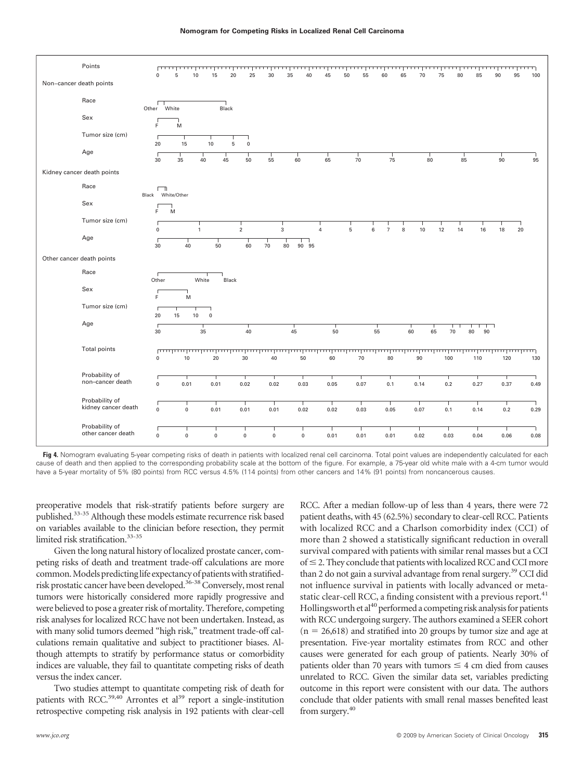

Fig 4. Nomogram evaluating 5-year competing risks of death in patients with localized renal cell carcinoma. Total point values are independently calculated for each cause of death and then applied to the corresponding probability scale at the bottom of the figure. For example, a 75-year old white male with a 4-cm tumor would have a 5-year mortality of 5% (80 points) from RCC versus 4.5% (114 points) from other cancers and 14% (91 points) from noncancerous causes.

preoperative models that risk-stratify patients before surgery are published.33-35 Although these models estimate recurrence risk based on variables available to the clinician before resection, they permit limited risk stratification.<sup>33-35</sup>

Given the long natural history of localized prostate cancer, competing risks of death and treatment trade-off calculations are more common. Models predicting life expectancy of patients with stratifiedrisk prostatic cancer have been developed.<sup>36-38</sup> Conversely, most renal tumors were historically considered more rapidly progressive and were believed to pose a greater risk of mortality. Therefore, competing risk analyses for localized RCC have not been undertaken. Instead, as with many solid tumors deemed "high risk," treatment trade-off calculations remain qualitative and subject to practitioner biases. Although attempts to stratify by performance status or comorbidity indices are valuable, they fail to quantitate competing risks of death versus the index cancer.

Two studies attempt to quantitate competing risk of death for patients with RCC. $^{39,40}$  Arrontes et al<sup>39</sup> report a single-institution retrospective competing risk analysis in 192 patients with clear-cell RCC. After a median follow-up of less than 4 years, there were 72 patient deaths, with 45 (62.5%) secondary to clear-cell RCC. Patients with localized RCC and a Charlson comorbidity index (CCI) of more than 2 showed a statistically significant reduction in overall survival compared with patients with similar renal masses but a CCI of  $\leq$  2. They conclude that patients with localized RCC and CCI more than 2 do not gain a survival advantage from renal surgery.<sup>39</sup> CCI did not influence survival in patients with locally advanced or metastatic clear-cell RCC, a finding consistent with a previous report.<sup>41</sup> Hollingsworth et al<sup>40</sup> performed a competing risk analysis for patients with RCC undergoing surgery. The authors examined a SEER cohort  $(n = 26,618)$  and stratified into 20 groups by tumor size and age at presentation. Five-year mortality estimates from RCC and other causes were generated for each group of patients. Nearly 30% of patients older than 70 years with tumors  $\leq 4$  cm died from causes unrelated to RCC. Given the similar data set, variables predicting outcome in this report were consistent with our data. The authors conclude that older patients with small renal masses benefited least from surgery.<sup>40</sup>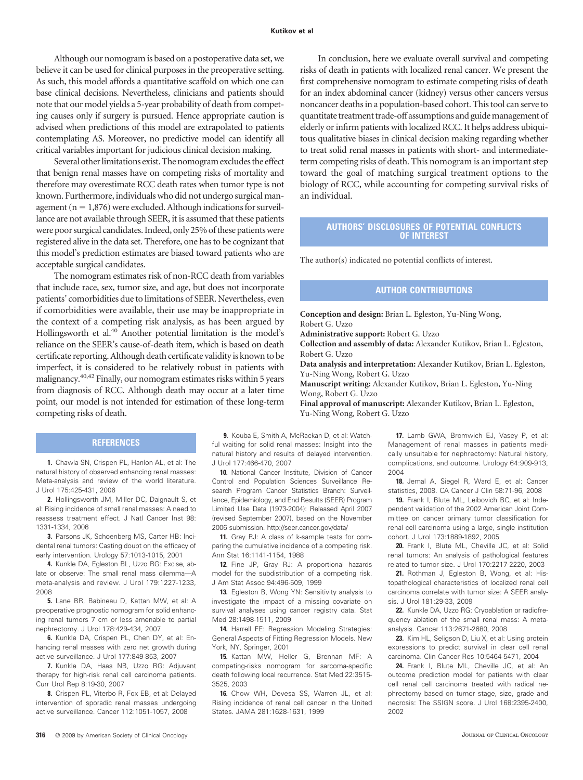Although our nomogram is based on a postoperative data set, we believe it can be used for clinical purposes in the preoperative setting. As such, this model affords a quantitative scaffold on which one can base clinical decisions. Nevertheless, clinicians and patients should note that our model yields a 5-year probability of death from competing causes only if surgery is pursued. Hence appropriate caution is advised when predictions of this model are extrapolated to patients contemplating AS. Moreover, no predictive model can identify all critical variables important for judicious clinical decision making.

Several other limitations exist. The nomogram excludes the effect that benign renal masses have on competing risks of mortality and therefore may overestimate RCC death rates when tumor type is not known. Furthermore, individuals who did not undergo surgical management ( $n = 1,876$ ) were excluded. Although indications for surveillance are not available through SEER, it is assumed that these patients were poor surgical candidates. Indeed, only 25% of these patients were registered alive in the data set. Therefore, one has to be cognizant that this model's prediction estimates are biased toward patients who are acceptable surgical candidates.

The nomogram estimates risk of non-RCC death from variables that include race, sex, tumor size, and age, but does not incorporate patients' comorbidities due to limitations of SEER. Nevertheless, even if comorbidities were available, their use may be inappropriate in the context of a competing risk analysis, as has been argued by Hollingsworth et al.<sup>40</sup> Another potential limitation is the model's reliance on the SEER's cause-of-death item, which is based on death certificate reporting. Although death certificate validity is known to be imperfect, it is considered to be relatively robust in patients with malignancy.40,42 Finally, our nomogram estimates risks within 5 years from diagnosis of RCC. Although death may occur at a later time point, our model is not intended for estimation of these long-term competing risks of death.

#### **REFERENCES**

**1.** Chawla SN, Crispen PL, Hanlon AL, et al: The natural history of observed enhancing renal masses: Meta-analysis and review of the world literature. J Urol 175:425-431, 2006

**2.** Hollingsworth JM, Miller DC, Daignault S, et al: Rising incidence of small renal masses: A need to reassess treatment effect. J Natl Cancer Inst 98: 1331-1334, 2006

**3.** Parsons JK, Schoenberg MS, Carter HB: Incidental renal tumors: Casting doubt on the efficacy of early intervention. Urology 57:1013-1015, 2001

**4.** Kunkle DA, Egleston BL, Uzzo RG: Excise, ablate or observe: The small renal mass dilemma—A meta-analysis and review. J Urol 179:1227-1233, 2008

**5.** Lane BR, Babineau D, Kattan MW, et al: A preoperative prognostic nomogram for solid enhancing renal tumors 7 cm or less amenable to partial nephrectomy. J Urol 178:429-434, 2007

**6.** Kunkle DA, Crispen PL, Chen DY, et al: Enhancing renal masses with zero net growth during active surveillance. J Urol 177:849-853, 2007

**7.** Kunkle DA, Haas NB, Uzzo RG: Adjuvant therapy for high-risk renal cell carcinoma patients. Curr Urol Rep 8:19-30, 2007

**8.** Crispen PL, Viterbo R, Fox EB, et al: Delayed intervention of sporadic renal masses undergoing active surveillance. Cancer 112:1051-1057, 2008

In conclusion, here we evaluate overall survival and competing risks of death in patients with localized renal cancer. We present the first comprehensive nomogram to estimate competing risks of death for an index abdominal cancer (kidney) versus other cancers versus noncancer deaths in a population-based cohort. This tool can serve to quantitate treatment trade-off assumptions and guide management of elderly or infirm patients with localized RCC. It helps address ubiquitous qualitative biases in clinical decision making regarding whether to treat solid renal masses in patients with short- and intermediateterm competing risks of death. This nomogram is an important step toward the goal of matching surgical treatment options to the biology of RCC, while accounting for competing survival risks of an individual.

### **AUTHORS' DISCLOSURES OF POTENTIAL CONFLICTS OF INTEREST**

The author(s) indicated no potential conflicts of interest.

## **AUTHOR CONTRIBUTIONS**

**Conception and design:** Brian L. Egleston, Yu-Ning Wong, Robert G. Uzzo

**Administrative support:** Robert G. Uzzo

**Collection and assembly of data:** Alexander Kutikov, Brian L. Egleston, Robert G. Uzzo

**Data analysis and interpretation:** Alexander Kutikov, Brian L. Egleston, Yu-Ning Wong, Robert G. Uzzo

**Manuscript writing:** Alexander Kutikov, Brian L. Egleston, Yu-Ning Wong, Robert G. Uzzo

**Final approval of manuscript:** Alexander Kutikov, Brian L. Egleston, Yu-Ning Wong, Robert G. Uzzo

**9.** Kouba E, Smith A, McRackan D, et al: Watchful waiting for solid renal masses: Insight into the natural history and results of delayed intervention. J Urol 177:466-470, 2007

**10.** National Cancer Institute, Division of Cancer Control and Population Sciences Surveillance Research Program Cancer Statistics Branch: Surveillance, Epidemiology, and End Results (SEER) Program Limited Use Data (1973-2004): Released April 2007 (revised September 2007), based on the November 2006 submission. http://seer.cancer.gov/data/

**11.** Gray RJ: A class of k-sample tests for comparing the cumulative incidence of a competing risk. Ann Stat 16:1141-1154, 1988

**12.** Fine JP, Gray RJ: A proportional hazards model for the subdistribution of a competing risk. J Am Stat Assoc 94:496-509, 1999

**13.** Egleston B, Wong YN: Sensitivity analysis to investigate the impact of a missing covariate on survival analyses using cancer registry data. Stat Med 28:1498-1511, 2009

**14.** Harrell FE: Regression Modeling Strategies: General Aspects of Fitting Regression Models. New York, NY, Springer, 2001

**15.** Kattan MW, Heller G, Brennan MF: A competing-risks nomogram for sarcoma-specific death following local recurrence. Stat Med 22:3515- 3525, 2003

**16.** Chow WH, Devesa SS, Warren JL, et al: Rising incidence of renal cell cancer in the United States. JAMA 281:1628-1631, 1999

**17.** Lamb GWA, Bromwich EJ, Vasey P, et al: Management of renal masses in patients medically unsuitable for nephrectomy: Natural history, complications, and outcome. Urology 64:909-913, 2004

**18.** Jemal A, Siegel R, Ward E, et al: Cancer statistics, 2008. CA Cancer J Clin 58:71-96, 2008

**19.** Frank I, Blute ML, Leibovich BC, et al: Independent validation of the 2002 American Joint Committee on cancer primary tumor classification for renal cell carcinoma using a large, single institution cohort. J Urol 173:1889-1892, 2005

**20.** Frank I, Blute ML, Cheville JC, et al: Solid renal tumors: An analysis of pathological features related to tumor size. J Urol 170:2217-2220, 2003

**21.** Rothman J, Egleston B, Wong, et al: Histopathological characteristics of localized renal cell carcinoma correlate with tumor size: A SEER analysis. J Urol 181:29-33, 2009

**22.** Kunkle DA, Uzzo RG: Cryoablation or radiofrequency ablation of the small renal mass: A metaanalysis. Cancer 113:2671-2680, 2008

**23.** Kim HL, Seligson D, Liu X, et al: Using protein expressions to predict survival in clear cell renal carcinoma. Clin Cancer Res 10:5464-5471, 2004

**24.** Frank I, Blute ML, Cheville JC, et al: An outcome prediction model for patients with clear cell renal cell carcinoma treated with radical nephrectomy based on tumor stage, size, grade and necrosis: The SSIGN score. J Urol 168:2395-2400, 2002